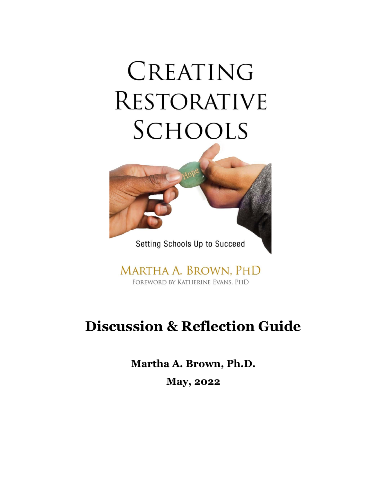# CREATING **RESTORATIVE** SCHOOLS



Setting Schools Up to Succeed

MARTHA A. BROWN, PHD FOREWORD BY KATHERINE EVANS, PHD

# **Discussion & Reflection Guide**

**Martha A. Brown, Ph.D. May, 2022**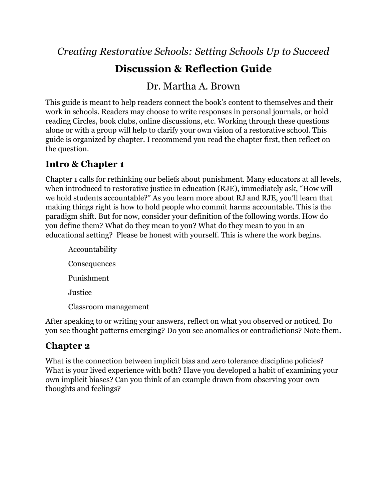*Creating Restorative Schools: Setting Schools Up to Succeed*

# **Discussion & Reflection Guide**

## Dr. Martha A. Brown

This guide is meant to help readers connect the book's content to themselves and their work in schools. Readers may choose to write responses in personal journals, or hold reading Circles, book clubs, online discussions, etc. Working through these questions alone or with a group will help to clarify your own vision of a restorative school. This guide is organized by chapter. I recommend you read the chapter first, then reflect on the question.

#### **Intro & Chapter 1**

Chapter 1 calls for rethinking our beliefs about punishment. Many educators at all levels, when introduced to restorative justice in education (RJE), immediately ask, "How will we hold students accountable?" As you learn more about RJ and RJE, you'll learn that making things right is how to hold people who commit harms accountable. This is the paradigm shift. But for now, consider your definition of the following words. How do you define them? What do they mean to you? What do they mean to you in an educational setting? Please be honest with yourself. This is where the work begins.

Accountability Consequences Punishment Justice Classroom management

After speaking to or writing your answers, reflect on what you observed or noticed. Do you see thought patterns emerging? Do you see anomalies or contradictions? Note them.

### **Chapter 2**

What is the connection between implicit bias and zero tolerance discipline policies? What is your lived experience with both? Have you developed a habit of examining your own implicit biases? Can you think of an example drawn from observing your own thoughts and feelings?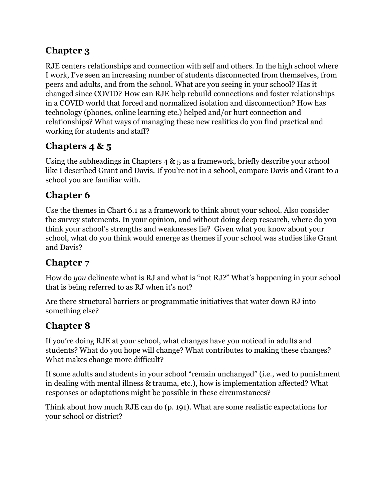### **Chapter 3**

RJE centers relationships and connection with self and others. In the high school where I work, I've seen an increasing number of students disconnected from themselves, from peers and adults, and from the school. What are you seeing in your school? Has it changed since COVID? How can RJE help rebuild connections and foster relationships in a COVID world that forced and normalized isolation and disconnection? How has technology (phones, online learning etc.) helped and/or hurt connection and relationships? What ways of managing these new realities do you find practical and working for students and staff?

### **Chapters 4 & 5**

Using the subheadings in Chapters 4 & 5 as a framework, briefly describe your school like I described Grant and Davis. If you're not in a school, compare Davis and Grant to a school you are familiar with.

# **Chapter 6**

Use the themes in Chart 6.1 as a framework to think about your school. Also consider the survey statements. In your opinion, and without doing deep research, where do you think your school's strengths and weaknesses lie? Given what you know about your school, what do you think would emerge as themes if your school was studies like Grant and Davis?

# **Chapter 7**

How do *you* delineate what is RJ and what is "not RJ?" What's happening in your school that is being referred to as RJ when it's not?

Are there structural barriers or programmatic initiatives that water down RJ into something else?

# **Chapter 8**

If you're doing RJE at your school, what changes have you noticed in adults and students? What do you hope will change? What contributes to making these changes? What makes change more difficult?

If some adults and students in your school "remain unchanged" (i.e., wed to punishment in dealing with mental illness & trauma, etc.), how is implementation affected? What responses or adaptations might be possible in these circumstances?

Think about how much RJE can do (p. 191). What are some realistic expectations for your school or district?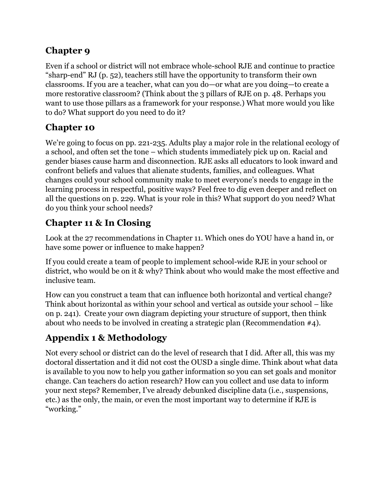#### **Chapter 9**

Even if a school or district will not embrace whole-school RJE and continue to practice "sharp-end" RJ (p. 52), teachers still have the opportunity to transform their own classrooms. If you are a teacher, what can you do—or what are you doing—to create a more restorative classroom? (Think about the 3 pillars of RJE on p. 48. Perhaps you want to use those pillars as a framework for your response.) What more would you like to do? What support do you need to do it?

#### **Chapter 10**

We're going to focus on pp. 221-235. Adults play a major role in the relational ecology of a school, and often set the tone – which students immediately pick up on. Racial and gender biases cause harm and disconnection. RJE asks all educators to look inward and confront beliefs and values that alienate students, families, and colleagues. What changes could your school community make to meet everyone's needs to engage in the learning process in respectful, positive ways? Feel free to dig even deeper and reflect on all the questions on p. 229. What is your role in this? What support do you need? What do you think your school needs?

# **Chapter 11 & In Closing**

Look at the 27 recommendations in Chapter 11. Which ones do YOU have a hand in, or have some power or influence to make happen?

If you could create a team of people to implement school-wide RJE in your school or district, who would be on it & why? Think about who would make the most effective and inclusive team.

How can you construct a team that can influence both horizontal and vertical change? Think about horizontal as within your school and vertical as outside your school – like on p. 241). Create your own diagram depicting your structure of support, then think about who needs to be involved in creating a strategic plan (Recommendation #4).

# **Appendix 1 & Methodology**

Not every school or district can do the level of research that I did. After all, this was my doctoral dissertation and it did not cost the OUSD a single dime. Think about what data is available to you now to help you gather information so you can set goals and monitor change. Can teachers do action research? How can you collect and use data to inform your next steps? Remember, I've already debunked discipline data (i.e., suspensions, etc.) as the only, the main, or even the most important way to determine if RJE is "working."